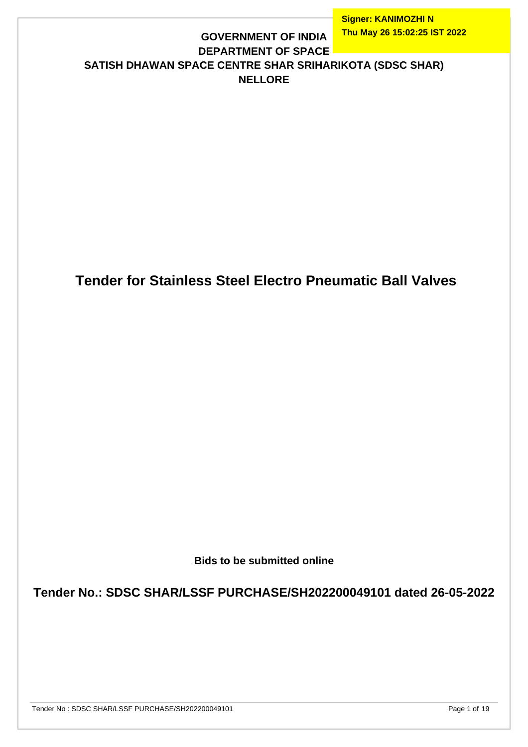### **DEPARTMENT OF SPACE SATISH DHAWAN SPACE CENTRE SHAR SRIHARIKOTA (SDSC SHAR) NELLORE**

**GOVERNMENT OF INDIA**

# **Tender for Stainless Steel Electro Pneumatic Ball Valves**

**Bids to be submitted online**

**Tender No.: SDSC SHAR/LSSF PURCHASE/SH202200049101 dated 26-05-2022**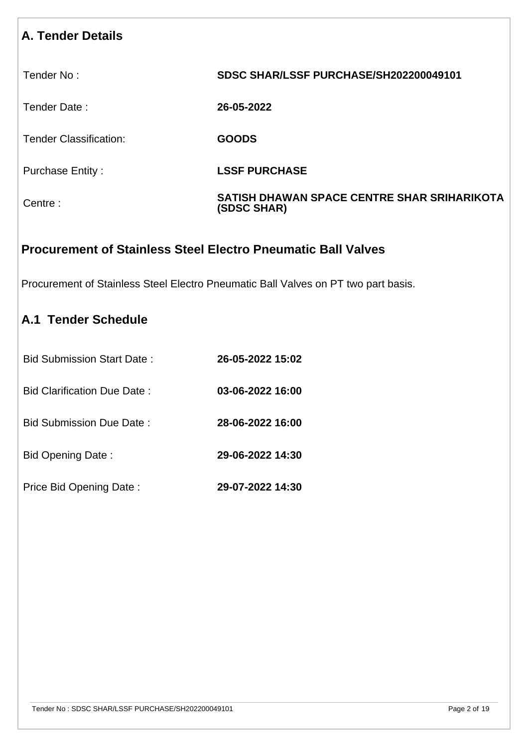## **A. Tender Details**

Tender No : **SDSC SHAR/LSSF PURCHASE/SH202200049101**

Tender Date : **26-05-2022**

Tender Classification: **GOODS**

Purchase Entity : **LSSF PURCHASE** 

Centre : **SATISH DHAWAN SPACE CENTRE SHAR SRIHARIKOTA (SDSC SHAR)**

### **Procurement of Stainless Steel Electro Pneumatic Ball Valves**

Procurement of Stainless Steel Electro Pneumatic Ball Valves on PT two part basis.

## **A.1 Tender Schedule**

| <b>Bid Submission Start Date:</b> | 26-05-2022 15:02 |
|-----------------------------------|------------------|
| Bid Clarification Due Date:       | 03-06-2022 16:00 |
| Bid Submission Due Date:          | 28-06-2022 16:00 |
| Bid Opening Date:                 | 29-06-2022 14:30 |
| Price Bid Opening Date:           | 29-07-2022 14:30 |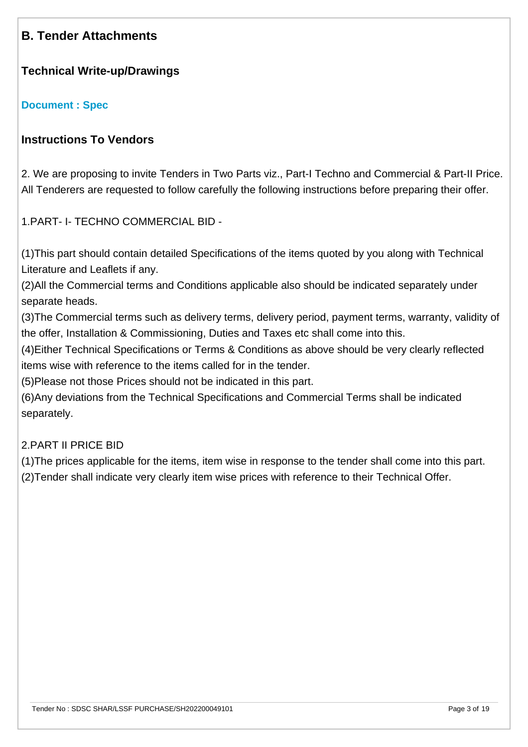## **B. Tender Attachments**

#### **Technical Write-up/Drawings**

#### **[Document : Spec](https://eproc.isro.gov.in/common/viewDocument?id=ff8081818093eacf0180ac42ae671552&indentId=SH2022000491)**

### **Instructions To Vendors**

2. We are proposing to invite Tenders in Two Parts viz., Part-I Techno and Commercial & Part-II Price. All Tenderers are requested to follow carefully the following instructions before preparing their offer.

1.PART- I- TECHNO COMMERCIAL BID -

(1)This part should contain detailed Specifications of the items quoted by you along with Technical Literature and Leaflets if any.

(2)All the Commercial terms and Conditions applicable also should be indicated separately under separate heads.

(3)The Commercial terms such as delivery terms, delivery period, payment terms, warranty, validity of the offer, Installation & Commissioning, Duties and Taxes etc shall come into this.

(4)Either Technical Specifications or Terms & Conditions as above should be very clearly reflected items wise with reference to the items called for in the tender.

(5)Please not those Prices should not be indicated in this part.

(6)Any deviations from the Technical Specifications and Commercial Terms shall be indicated separately.

#### 2.PART II PRICE BID

(1)The prices applicable for the items, item wise in response to the tender shall come into this part. (2)Tender shall indicate very clearly item wise prices with reference to their Technical Offer.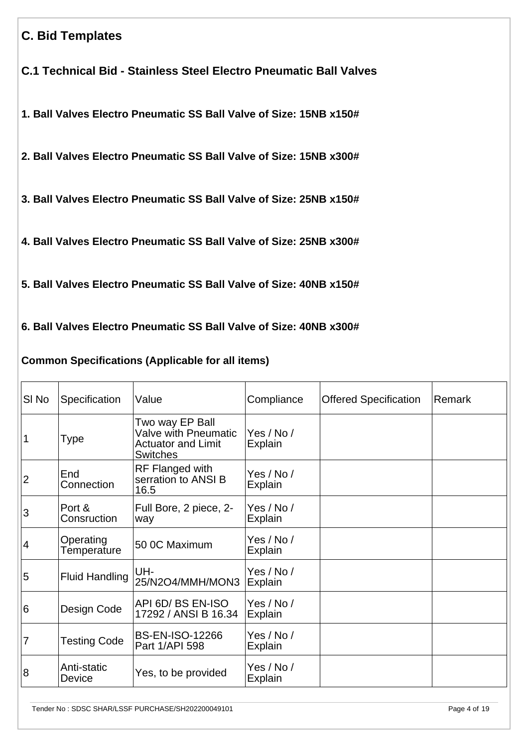## **C. Bid Templates**

**C.1 Technical Bid - Stainless Steel Electro Pneumatic Ball Valves**

**1. Ball Valves Electro Pneumatic SS Ball Valve of Size: 15NB x150#** 

**2. Ball Valves Electro Pneumatic SS Ball Valve of Size: 15NB x300#** 

**3. Ball Valves Electro Pneumatic SS Ball Valve of Size: 25NB x150#** 

**4. Ball Valves Electro Pneumatic SS Ball Valve of Size: 25NB x300#** 

**5. Ball Valves Electro Pneumatic SS Ball Valve of Size: 40NB x150#** 

**6. Ball Valves Electro Pneumatic SS Ball Valve of Size: 40NB x300#** 

### **Common Specifications (Applicable for all items)**

| SI No          | Specification            | Value                                                                                   | Compliance            | <b>Offered Specification</b> | Remark |
|----------------|--------------------------|-----------------------------------------------------------------------------------------|-----------------------|------------------------------|--------|
|                | Type                     | Two way EP Ball<br>Valve with Pneumatic<br><b>Actuator and Limit</b><br><b>Switches</b> | Yes / No /<br>Explain |                              |        |
| $\overline{c}$ | End<br>Connection        | <b>RF Flanged with</b><br>serration to ANSI B<br>16.5                                   | Yes / No /<br>Explain |                              |        |
| 3              | Port &<br>Consruction    | Full Bore, 2 piece, 2-<br>way                                                           | Yes / No /<br>Explain |                              |        |
| 4              | Operating<br>Temperature | 50 0C Maximum                                                                           | Yes / No /<br>Explain |                              |        |
| 5              | <b>Fluid Handling</b>    | UH-<br>25/N2O4/MMH/MON3                                                                 | Yes / No /<br>Explain |                              |        |
| 6              | Design Code              | API 6D/BS EN-ISO<br>17292 / ANSI B 16.34                                                | Yes / No /<br>Explain |                              |        |
| 7              | <b>Testing Code</b>      | <b>BS-EN-ISO-12266</b><br>Part 1/API 598                                                | Yes / No /<br>Explain |                              |        |
| 8              | Anti-static<br>Device    | Yes, to be provided                                                                     | Yes / No /<br>Explain |                              |        |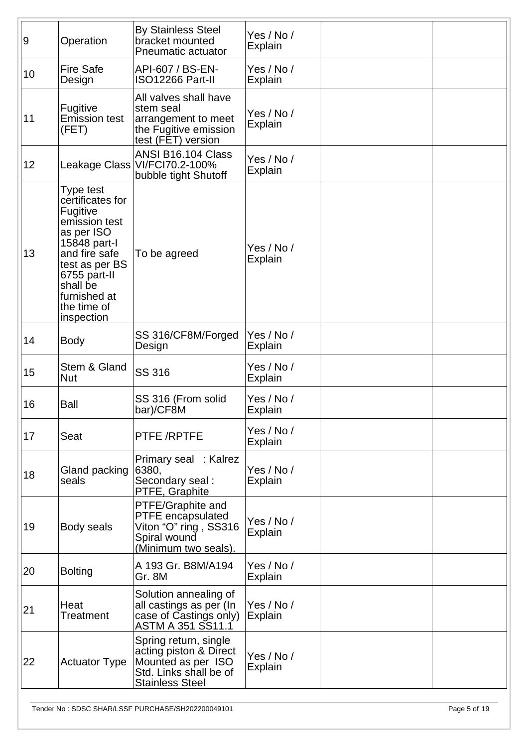| 9  | Operation                                                                                                                                                                                            | <b>By Stainless Steel</b><br>bracket mounted<br>Pneumatic actuator                                                        | Yes / No /<br>Explain        |  |
|----|------------------------------------------------------------------------------------------------------------------------------------------------------------------------------------------------------|---------------------------------------------------------------------------------------------------------------------------|------------------------------|--|
| 10 | <b>Fire Safe</b><br>Design                                                                                                                                                                           | API-607 / BS-EN-<br>ISO12266 Part-II                                                                                      | Yes / No /<br>Explain        |  |
| 11 | Fugitive<br><b>Emission test</b><br>(FET)                                                                                                                                                            | All valves shall have<br>stem seal<br>arrangement to meet<br>the Fugitive emission<br>test (FET) version                  | Yes / No /<br>Explain        |  |
| 12 |                                                                                                                                                                                                      | ANSI B16.104 Class<br>Leakage Class   VI/FCI70.2-100%<br>bubble tight Shutoff                                             | Yes / No /<br><b>Explain</b> |  |
| 13 | Type test<br>certificates for<br>Fugitive<br>emission test<br>as per ISO<br>15848 part-l<br>and fire safe<br>test as per BS<br>6755 part-II<br>shall be<br>furnished at<br>the time of<br>inspection | To be agreed                                                                                                              | Yes / No /<br>Explain        |  |
| 14 | <b>Body</b>                                                                                                                                                                                          | SS 316/CF8M/Forged<br>Design                                                                                              | Yes / No /<br>Explain        |  |
| 15 | Stem & Gland<br><b>Nut</b>                                                                                                                                                                           | <b>SS 316</b>                                                                                                             | Yes / No /<br>Explain        |  |
| 16 | <b>Ball</b>                                                                                                                                                                                          | SS 316 (From solid<br>bar)/CF8M                                                                                           | Yes / No /<br>Explain        |  |
| 17 | Seat                                                                                                                                                                                                 | PTFE /RPTFE                                                                                                               | Yes / No /<br>Explain        |  |
| 18 | Gland packing<br>seals                                                                                                                                                                               | Primary seal : Kalrez<br>6380,<br>Secondary seal:<br>PTFE, Graphite                                                       | Yes / No /<br>Explain        |  |
| 19 | Body seals                                                                                                                                                                                           | PTFE/Graphite and<br><b>PTFE</b> encapsulated<br>Viton "O" ring, SS316<br>Spiral wound<br>(Minimum two seals).            | Yes / No /<br>Explain        |  |
| 20 | <b>Bolting</b>                                                                                                                                                                                       | A 193 Gr. B8M/A194<br>Gr. 8M                                                                                              | Yes / No /<br>Explain        |  |
| 21 | Heat<br><b>Treatment</b>                                                                                                                                                                             | Solution annealing of<br>all castings as per (In<br>case of Castings only)<br>ASTM A 351 SS11.1                           | Yes / No /<br>Explain        |  |
| 22 | <b>Actuator Type</b>                                                                                                                                                                                 | Spring return, single<br>acting piston & Direct<br>Mounted as per ISO<br>Std. Links shall be of<br><b>Stainless Steel</b> | Yes / No /<br>Explain        |  |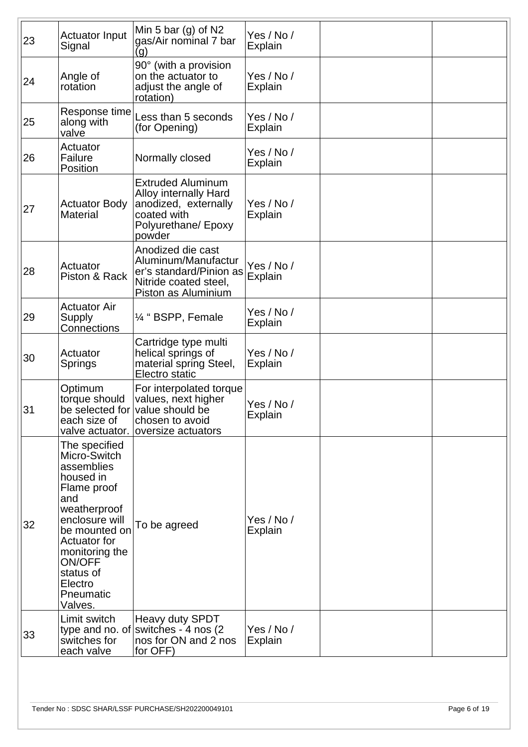| 23 | <b>Actuator Input</b><br>Signal                                                                                                                                                                                                             | Min 5 bar (g) of $N2$<br>gas/Air nominal 7 bar<br>(g)                                                                            | Yes / No /<br>Explain        |  |
|----|---------------------------------------------------------------------------------------------------------------------------------------------------------------------------------------------------------------------------------------------|----------------------------------------------------------------------------------------------------------------------------------|------------------------------|--|
| 24 | Angle of<br>rotation                                                                                                                                                                                                                        | 90° (with a provision<br>on the actuator to<br>adjust the angle of<br>rotation)                                                  | Yes / No /<br>Explain        |  |
| 25 | Response time<br>along with<br>valve                                                                                                                                                                                                        | Less than 5 seconds<br>(for Opening)                                                                                             | Yes / No /<br>Explain        |  |
| 26 | Actuator<br>Failure<br>Position                                                                                                                                                                                                             | Normally closed                                                                                                                  | Yes / No /<br>Explain        |  |
| 27 | <b>Actuator Body</b><br><b>Material</b>                                                                                                                                                                                                     | <b>Extruded Aluminum</b><br><b>Alloy internally Hard</b><br>anodized, externally<br>coated with<br>Polyurethane/ Epoxy<br>powder | Yes / No /<br>Explain        |  |
| 28 | Actuator<br>Piston & Rack                                                                                                                                                                                                                   | Anodized die cast<br>Aluminum/Manufactur<br>er's standard/Pinion as<br>Nitride coated steel,<br>Piston as Aluminium              | Yes / No /<br>Explain        |  |
| 29 | <b>Actuator Air</b><br><b>Supply</b><br>Connections                                                                                                                                                                                         | 1/4 " BSPP, Female                                                                                                               | Yes / No /<br>Explain        |  |
| 30 | Actuator<br>Springs                                                                                                                                                                                                                         | Cartridge type multi<br>helical springs of<br>material spring Steel,<br>Electro static                                           | Yes / No /<br><b>Explain</b> |  |
| 31 | Optimum<br>torque should<br>be selected for<br>each size of<br>valve actuator.                                                                                                                                                              | For interpolated torque<br>values, next higher<br>value should be<br>chosen to avoid<br>oversize actuators                       | Yes / No /<br>Explain        |  |
| 32 | The specified<br>Micro-Switch<br>assemblies<br>housed in<br>Flame proof<br>and<br>weatherproof<br>enclosure will<br>be mounted on<br><b>Actuator for</b><br>monitoring the<br><b>ON/OFF</b><br>status of<br>Electro<br>Pneumatic<br>Valves. | To be agreed                                                                                                                     | Yes / No /<br>Explain        |  |
| 33 | Limit switch<br>switches for<br>each valve                                                                                                                                                                                                  | Heavy duty SPDT<br>type and no. of switches - 4 nos (2)<br>nos for ON and 2 nos<br>for OFF)                                      | Yes / No /<br>Explain        |  |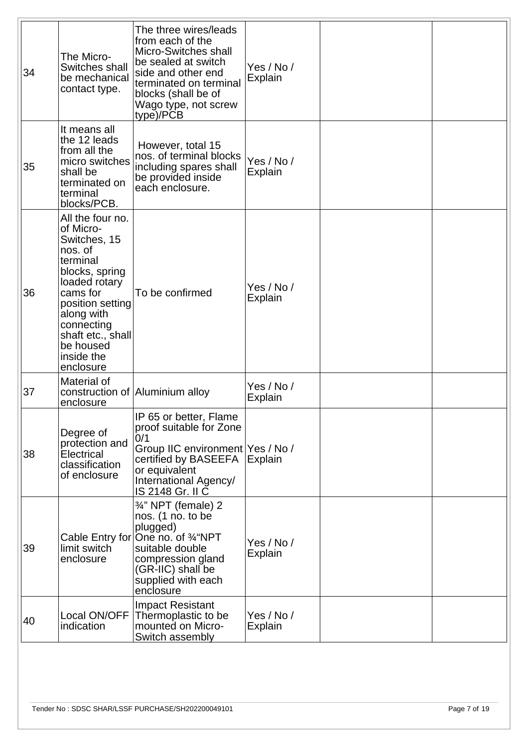| 34 | The Micro-<br>Switches shall<br>be mechanical<br>contact type.                                                                                                                                                                   | The three wires/leads<br>from each of the<br>Micro-Switches shall<br>be sealed at switch<br>side and other end<br>terminated on terminal<br>blocks (shall be of<br>Wago type, not screw<br>type)/PCB | Yes / No /<br>Explain        |  |
|----|----------------------------------------------------------------------------------------------------------------------------------------------------------------------------------------------------------------------------------|------------------------------------------------------------------------------------------------------------------------------------------------------------------------------------------------------|------------------------------|--|
| 35 | It means all<br>the 12 leads<br>from all the<br>micro switches<br>shall be<br>terminated on<br>terminal<br>blocks/PCB.                                                                                                           | However, total 15<br>nos. of terminal blocks<br>including spares shall<br>be provided inside<br>each enclosure.                                                                                      | Yes / No /<br><b>Explain</b> |  |
| 36 | All the four no.<br>of Micro-<br>Switches, 15<br>nos. of<br>terminal<br>blocks, spring<br>loaded rotary<br>cams for<br>position setting<br>along with<br>connecting<br>shaft etc., shall<br>be housed<br>inside the<br>enclosure | To be confirmed                                                                                                                                                                                      | Yes / No /<br><b>Explain</b> |  |
| 37 | Material of<br>enclosure                                                                                                                                                                                                         | construction of Aluminium alloy                                                                                                                                                                      | Yes / No /<br><b>Explain</b> |  |
| 38 | Degree of<br>protection and<br>Electrical<br>classification<br>of enclosure                                                                                                                                                      | IP 65 or better, Flame<br>proof suitable for Zone<br>0/1<br>Group IIC environment   Yes / No /<br>certified by BASEEFA<br>or equivalent<br>International Agency/<br>IS 2148 Gr. II C                 | Explain                      |  |
| 39 | limit switch<br>enclosure                                                                                                                                                                                                        | 3/4" NPT (female) 2<br>nos. (1 no. to be<br>plugged)<br>Cable Entry for One no. of 3/4"NPT<br>suitable double<br>compression gland<br>(GR-IIC) shall be<br>supplied with each<br>enclosure           | Yes / No /<br>Explain        |  |
| 40 | Local ON/OFF<br>indication                                                                                                                                                                                                       | <b>Impact Resistant</b><br>Thermoplastic to be<br>mounted on Micro-<br>Switch assembly                                                                                                               | Yes / No /<br>Explain        |  |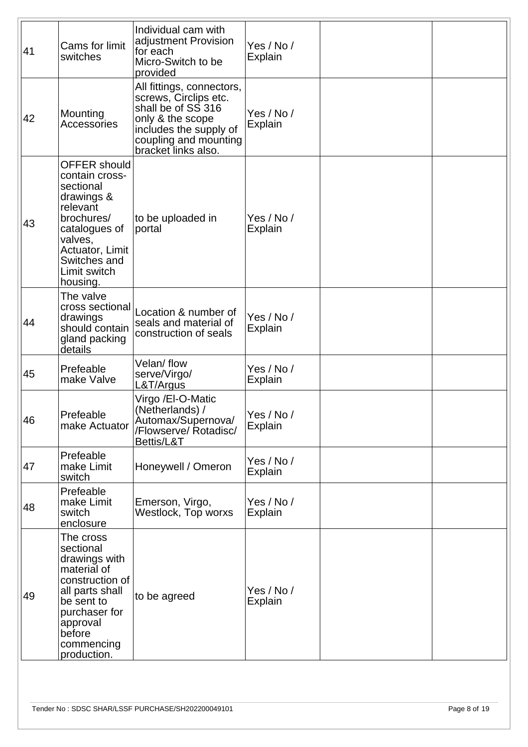| 41 | Cams for limit<br>switches                                                                                                                                                            | Individual cam with<br>adjustment Provision<br>for each<br>Micro-Switch to be<br>provided                                                                              | Yes / No /<br><b>Explain</b> |  |
|----|---------------------------------------------------------------------------------------------------------------------------------------------------------------------------------------|------------------------------------------------------------------------------------------------------------------------------------------------------------------------|------------------------------|--|
| 42 | Mounting<br>Accessories                                                                                                                                                               | All fittings, connectors,<br>screws, Circlips etc.<br>shall be of SS 316<br>only & the scope<br>includes the supply of<br>coupling and mounting<br>bracket links also. | Yes / No /<br>Explain        |  |
| 43 | <b>OFFER should</b><br>contain cross-<br>sectional<br>drawings &<br>relevant<br>brochures/<br>catalogues of<br>valves,<br>Actuator, Limit<br>Switches and<br>Limit switch<br>housing. | to be uploaded in<br>portal                                                                                                                                            | Yes / No /<br><b>Explain</b> |  |
| 44 | The valve<br>cross sectional<br>drawings<br>should contain<br>gland packing<br>details                                                                                                | Location & number of<br>seals and material of<br>construction of seals                                                                                                 | Yes / No /<br><b>Explain</b> |  |
| 45 | Prefeable<br>make Valve                                                                                                                                                               | Velan/flow<br>serve/Virgo/<br>L&T/Argus                                                                                                                                | Yes / No /<br>Explain        |  |
| 46 | Prefeable<br>make Actuator                                                                                                                                                            | Virgo /EI-O-Matic<br>(Netherlands) /<br>Automax/Supernova/<br>/Flowserve/ Rotadisc/<br>Bettis/L&T                                                                      | Yes / No /<br>Explain        |  |
| 47 | Prefeable<br>make Limit<br>switch                                                                                                                                                     | Honeywell / Omeron                                                                                                                                                     | Yes / No /<br><b>Explain</b> |  |
| 48 | Prefeable<br>make Limit<br>switch<br>enclosure                                                                                                                                        | Emerson, Virgo,<br>Westlock, Top worxs                                                                                                                                 | Yes / No /<br>Explain        |  |
| 49 | The cross<br>sectional<br>drawings with<br>material of<br>construction of<br>all parts shall<br>be sent to<br>purchaser for<br>approval<br>before<br>commencing<br>production.        | to be agreed                                                                                                                                                           | Yes / No /<br><b>Explain</b> |  |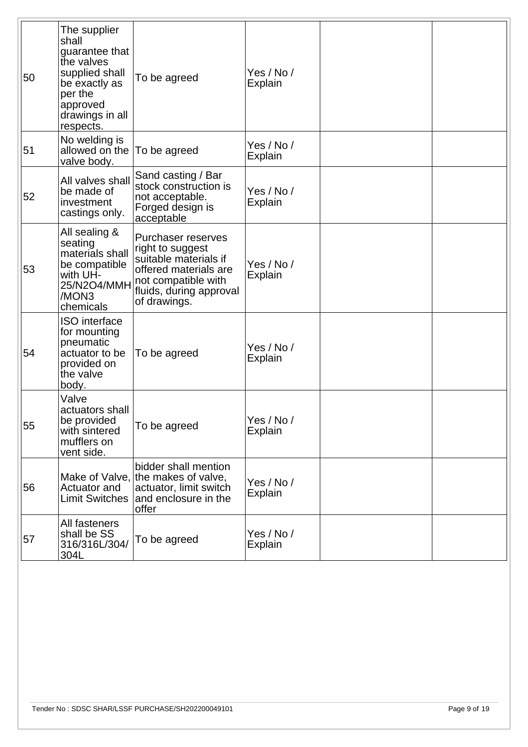| 50 | The supplier<br>shall<br>guarantee that<br>the valves<br>supplied shall<br>be exactly as<br>per the<br>approved<br>drawings in all<br>respects. | To be agreed                                                                                                                                                      | Yes / No /<br>Explain        |  |
|----|-------------------------------------------------------------------------------------------------------------------------------------------------|-------------------------------------------------------------------------------------------------------------------------------------------------------------------|------------------------------|--|
| 51 | No welding is<br>allowed on the<br>valve body.                                                                                                  | To be agreed                                                                                                                                                      | Yes / No /<br><b>Explain</b> |  |
| 52 | All valves shall<br>be made of<br>investment<br>castings only.                                                                                  | Sand casting / Bar<br>stock construction is<br>not acceptable.<br>Forged design is<br>acceptable                                                                  | Yes / No /<br>Explain        |  |
| 53 | All sealing &<br>seating<br>materials shall<br>be compatible<br>with UH-<br>25/N2O4/MMH<br>/MON3<br>chemicals                                   | <b>Purchaser reserves</b><br>right to suggest<br>suitable materials if<br>offered materials are<br>not compatible with<br>fluids, during approval<br>of drawings. | Yes / No /<br><b>Explain</b> |  |
| 54 | <b>ISO</b> interface<br>for mounting<br>pneumatic<br>actuator to be<br>provided on<br>the valve<br>body.                                        | To be agreed                                                                                                                                                      | Yes / No /<br>Explain        |  |
| 55 | Valve<br>actuators shall<br>be provided<br>with sintered<br>mufflers on<br>vent side.                                                           | To be agreed                                                                                                                                                      | Yes / No /<br>Explain        |  |
| 56 | Actuator and<br><b>Limit Switches</b>                                                                                                           | bidder shall mention<br>Make of Valve, the makes of valve,<br>actuator, limit switch<br>and enclosure in the<br>offer                                             | Yes / No /<br>Explain        |  |
| 57 | All fasteners<br>shall be SS<br>316/316L/304/<br>304L                                                                                           | To be agreed                                                                                                                                                      | Yes / No /<br><b>Explain</b> |  |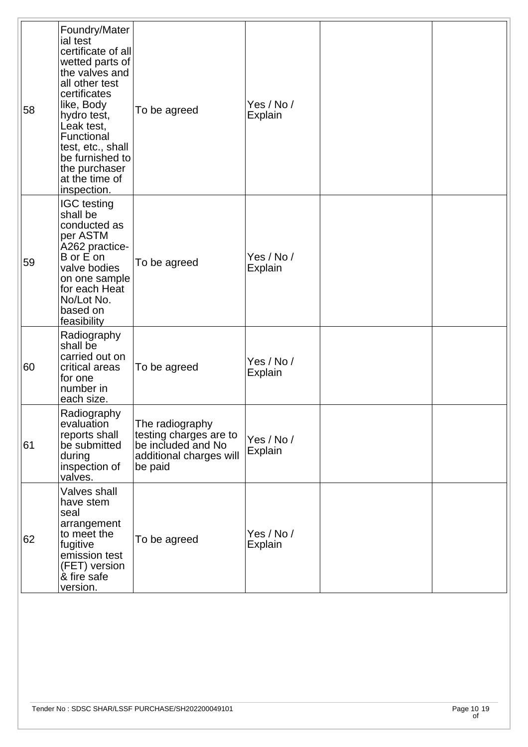| 58 | Foundry/Mater<br>ial test<br>certificate of all<br>wetted parts of<br>the valves and<br>all other test<br>certificates<br>like, Body<br>hydro test,<br>Leak test,<br>Functional<br>test, etc., shall<br>be furnished to<br>the purchaser<br>at the time of<br>inspection. | To be agreed                                                                                          | Yes / No /<br>Explain        |  |
|----|---------------------------------------------------------------------------------------------------------------------------------------------------------------------------------------------------------------------------------------------------------------------------|-------------------------------------------------------------------------------------------------------|------------------------------|--|
| 59 | <b>IGC</b> testing<br>shall be<br>conducted as<br>per ASTM<br>A262 practice-<br>B or E on<br>valve bodies<br>on one sample<br>for each Heat<br>No/Lot No.<br>based on<br>feasibility                                                                                      | To be agreed                                                                                          | Yes / No /<br>Explain        |  |
| 60 | Radiography<br>shall be<br>carried out on<br>critical areas<br>for one<br>number in<br>each size.                                                                                                                                                                         | To be agreed                                                                                          | Yes / No /<br><b>Explain</b> |  |
| 61 | Radiography<br>evaluation<br>reports shall<br>be submitted<br>during<br>inspection of<br>valves.                                                                                                                                                                          | The radiography<br>testing charges are to<br>be included and No<br>additional charges will<br>be paid | Yes / No /<br>Explain        |  |
| 62 | Valves shall<br>have stem<br>seal<br>arrangement<br>to meet the<br>fugitive<br>emission test<br>(FET) version<br>& fire safe<br>version.                                                                                                                                  | To be agreed                                                                                          | Yes / No /<br>Explain        |  |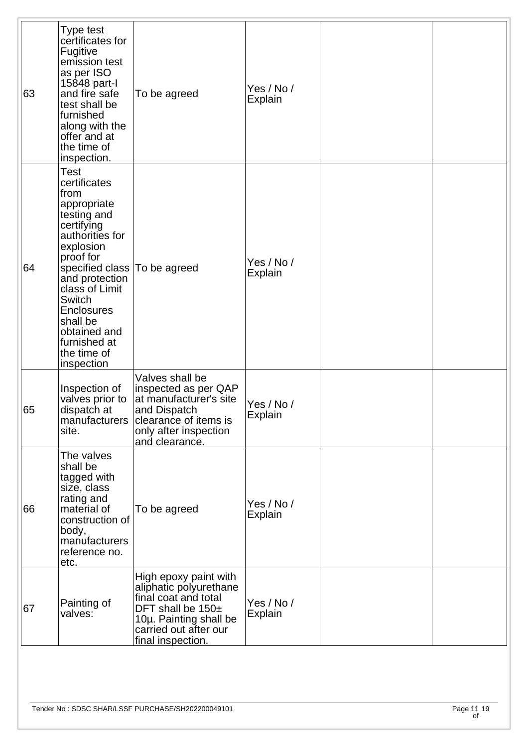| 63 | Type test<br>certificates for<br>Fugitive<br>emission test<br>as per ISO<br>15848 part-l<br>and fire safe<br>test shall be<br>furnished<br>along with the<br>offer and at<br>the time of<br>inspection.                                                                                                  | To be agreed                                                                                                                                                         | Yes / No /<br><b>Explain</b> |  |
|----|----------------------------------------------------------------------------------------------------------------------------------------------------------------------------------------------------------------------------------------------------------------------------------------------------------|----------------------------------------------------------------------------------------------------------------------------------------------------------------------|------------------------------|--|
| 64 | Test<br>certificates<br>from<br>appropriate<br>testing and<br>certifying<br>authorities for<br>explosion<br>proof for<br>specified class To be agreed<br>and protection<br>class of Limit<br><b>Switch</b><br><b>Enclosures</b><br>shall be<br>obtained and<br>furnished at<br>the time of<br>inspection |                                                                                                                                                                      | Yes / No /<br>Explain        |  |
| 65 | Inspection of<br>valves prior to<br>dispatch at<br>site.                                                                                                                                                                                                                                                 | Valves shall be<br>inspected as per QAP<br>at manufacturer's site<br>and Dispatch<br>manufacturers clearance of items is<br>only after inspection<br>and clearance.  | Yes / No /<br>Explain        |  |
| 66 | The valves<br>shall be<br>tagged with<br>size, class<br>rating and<br>material of<br>construction of<br>body,<br>manufacturers<br>reference no.<br>etc.                                                                                                                                                  | To be agreed                                                                                                                                                         | Yes / No /<br><b>Explain</b> |  |
| 67 | Painting of<br>valves:                                                                                                                                                                                                                                                                                   | High epoxy paint with<br>aliphatic polyurethane<br>final coat and total<br>DFT shall be 150±<br>10µ. Painting shall be<br>carried out after our<br>final inspection. | Yes / No /<br><b>Explain</b> |  |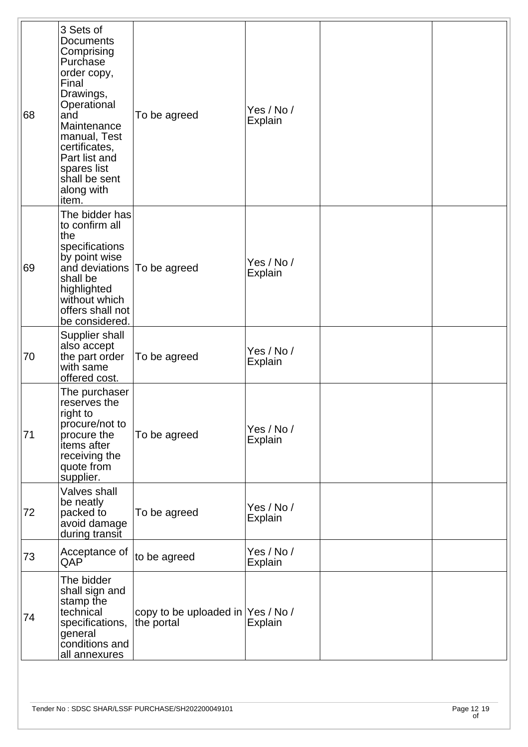| 68 | 3 Sets of<br><b>Documents</b><br>Comprising<br>Purchase<br>order copy,<br>Final<br>Drawings,<br>Operational<br>and<br>Maintenance<br>manual, Test<br>certificates,<br>Part list and<br>spares list<br>shall be sent<br>along with<br>item. | To be agreed                                     | Yes / No /<br>Explain        |  |
|----|--------------------------------------------------------------------------------------------------------------------------------------------------------------------------------------------------------------------------------------------|--------------------------------------------------|------------------------------|--|
| 69 | The bidder has<br>to confirm all<br> the<br>specifications<br>by point wise<br>and deviations   To be agreed<br>shall be<br>highlighted<br>without which<br>offers shall not<br>be considered.                                             |                                                  | Yes / No /<br>Explain        |  |
| 70 | Supplier shall<br>also accept<br>the part order<br>with same<br>offered cost.                                                                                                                                                              | To be agreed                                     | Yes / No /<br><b>Explain</b> |  |
| 71 | The purchaser<br>reserves the<br>right to<br>procure/not to<br>procure the<br>items after<br>receiving the<br>quote from<br>supplier.                                                                                                      | To be agreed                                     | Yes / No /<br>Explain        |  |
| 72 | Valves shall<br>be neatly<br>packed to<br>avoid damage<br>during transit                                                                                                                                                                   | To be agreed                                     | Yes / No /<br>Explain        |  |
| 73 | Acceptance of<br>QAP                                                                                                                                                                                                                       | to be agreed                                     | Yes / No /<br>Explain        |  |
| 74 | The bidder<br>shall sign and<br>stamp the<br>technical<br>specifications,<br>general<br>conditions and<br>all annexures                                                                                                                    | copy to be uploaded in  Yes / No /<br>the portal | Explain                      |  |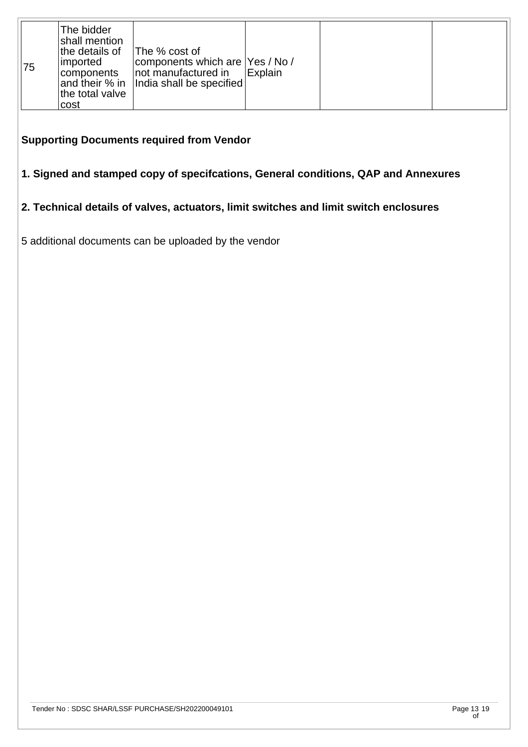| 75 | The bidder<br>shall mention<br>the details of<br> imported<br> components <br>the total valve<br>cost | The % cost of<br>components which are   Yes / No /<br>not manufactured in<br>and their % in   India shall be specified | <b>Explain</b> |  |  |
|----|-------------------------------------------------------------------------------------------------------|------------------------------------------------------------------------------------------------------------------------|----------------|--|--|
|----|-------------------------------------------------------------------------------------------------------|------------------------------------------------------------------------------------------------------------------------|----------------|--|--|

#### **Supporting Documents required from Vendor**

### **1. Signed and stamped copy of specifcations, General conditions, QAP and Annexures**

# **2. Technical details of valves, actuators, limit switches and limit switch enclosures**

5 additional documents can be uploaded by the vendor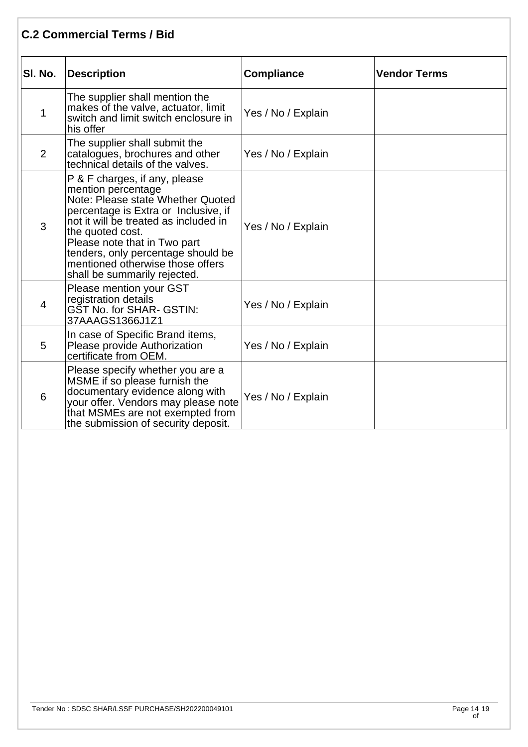## **C.2 Commercial Terms / Bid**

| SI. No.        | <b>Description</b>                                                                                                                                                                                                                                                                                                                      | <b>Compliance</b>  | <b>Vendor Terms</b> |
|----------------|-----------------------------------------------------------------------------------------------------------------------------------------------------------------------------------------------------------------------------------------------------------------------------------------------------------------------------------------|--------------------|---------------------|
| $\mathbf 1$    | The supplier shall mention the<br>makes of the valve, actuator, limit<br>switch and limit switch enclosure in<br>his offer                                                                                                                                                                                                              | Yes / No / Explain |                     |
| $\overline{2}$ | The supplier shall submit the<br>catalogues, brochures and other<br>technical details of the valves.                                                                                                                                                                                                                                    | Yes / No / Explain |                     |
| 3              | P & F charges, if any, please<br>mention percentage<br>Note: Please state Whether Quoted<br>percentage is Extra or Inclusive, if<br>not it will be treated as included in<br>the quoted cost.<br>Please note that in Two part<br>tenders, only percentage should be<br>mentioned otherwise those offers<br>shall be summarily rejected. | Yes / No / Explain |                     |
| 4              | <b>Please mention your GST</b><br>registration details<br>GŠT No. for SHAR- GSTIN:<br>37AAAGS1366J1Z1                                                                                                                                                                                                                                   | Yes / No / Explain |                     |
| 5              | In case of Specific Brand items,<br>Please provide Authorization<br>certificate from OEM.                                                                                                                                                                                                                                               | Yes / No / Explain |                     |
| 6              | Please specify whether you are a<br>MSME if so please furnish the<br>documentary evidence along with<br>your offer. Vendors may please note<br>that MSMEs are not exempted from<br>the submission of security deposit.                                                                                                                  | Yes / No / Explain |                     |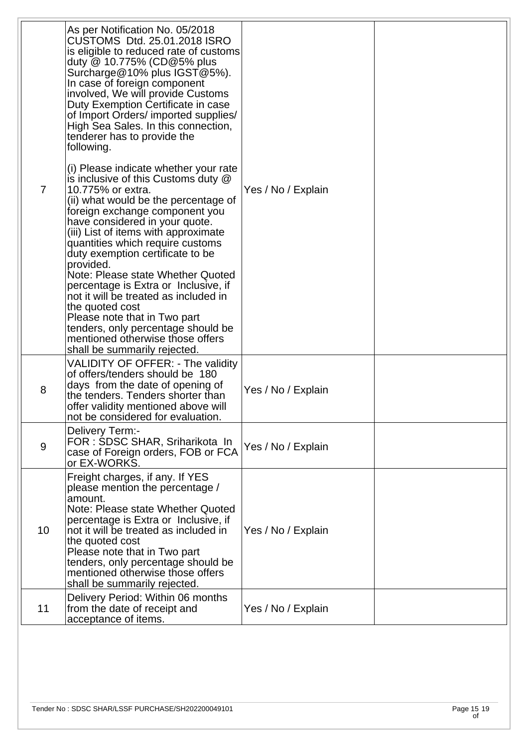| $\overline{7}$ | As per Notification No. 05/2018<br>CUSTOMS Dtd. 25.01.2018 ISRO<br>is eligible to reduced rate of customs<br>duty $@$ 10.775% (CD $@$ 5% plus<br>Surcharge@10% plus IGST@5%).<br>In case of foreign component<br>involved, We will provide Customs<br>Duty Exemption Certificate in case<br>of Import Orders/ imported supplies/<br>High Sea Sales. In this connection,<br>tenderer has to provide the<br>following.                                                                                                                                                                                                          |                    |  |
|----------------|-------------------------------------------------------------------------------------------------------------------------------------------------------------------------------------------------------------------------------------------------------------------------------------------------------------------------------------------------------------------------------------------------------------------------------------------------------------------------------------------------------------------------------------------------------------------------------------------------------------------------------|--------------------|--|
|                | (i) Please indicate whether your rate<br>is inclusive of this Customs duty @<br>10.775% or extra.<br>(ii) what would be the percentage of<br>foreign exchange component you<br>have considered in your quote.<br>(iii) List of items with approximate<br>quantities which require customs<br>duty exemption certificate to be<br>provided.<br>Note: Please state Whether Quoted<br>percentage is Extra or Inclusive, if<br>not it will be treated as included in<br>the quoted cost<br>Please note that in Two part<br>tenders, only percentage should be<br>mentioned otherwise those offers<br>shall be summarily rejected. | Yes / No / Explain |  |
| 8              | VALIDITY OF OFFER: - The validity<br>of offers/tenders should be 180<br>days from the date of opening of<br>the tenders. Tenders shorter than<br>offer validity mentioned above will<br>not be considered for evaluation.                                                                                                                                                                                                                                                                                                                                                                                                     | Yes / No / Explain |  |
| 9              | Delivery Term:-<br>FOR : SDSC SHAR, Sriharikota In<br>case of Foreign orders, FOB or FCA<br>or EX-WORKS.                                                                                                                                                                                                                                                                                                                                                                                                                                                                                                                      | Yes / No / Explain |  |
| 10             | Freight charges, if any. If YES<br>please mention the percentage /<br>amount.<br>Note: Please state Whether Quoted<br>percentage is Extra or Inclusive, if<br>not it will be treated as included in<br>the quoted cost<br>Please note that in Two part<br>tenders, only percentage should be<br>mentioned otherwise those offers<br>shall be summarily rejected.                                                                                                                                                                                                                                                              | Yes / No / Explain |  |
| 11             | Delivery Period: Within 06 months<br>from the date of receipt and<br>acceptance of items.                                                                                                                                                                                                                                                                                                                                                                                                                                                                                                                                     | Yes / No / Explain |  |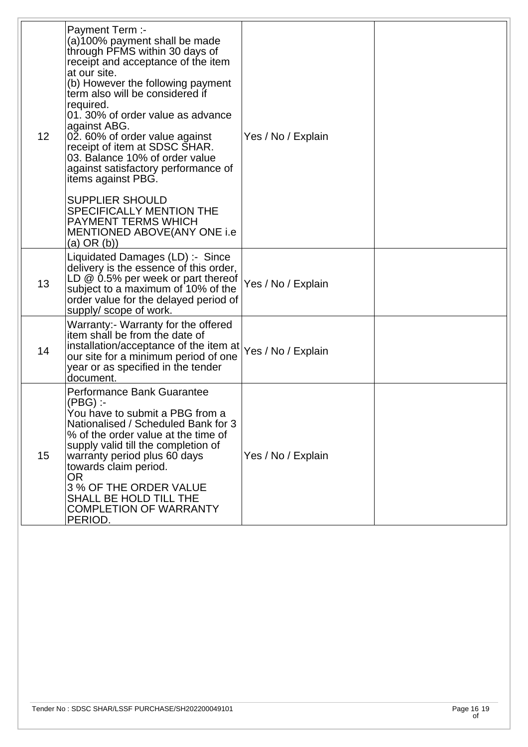| 12 <sub>2</sub> | Payment Term :-<br>(a)100% payment shall be made<br>through PFMS within 30 days of<br>receipt and acceptance of the item<br>at our site.<br>(b) However the following payment<br>term also will be considered if<br>required.<br>01. 30% of order value as advance<br>against ABG.<br>02. 60% of order value against<br>receipt of item at SDSC SHAR.<br>03. Balance 10% of order value<br>against satisfactory performance of<br>items against PBG.<br><b>SUPPLIER SHOULD</b><br>SPECIFICALLY MENTION THE<br><b>PAYMENT TERMS WHICH</b><br>MENTIONED ABOVE(ANY ONE i.e<br>$(a)$ OR $(b)$ ) | Yes / No / Explain |  |
|-----------------|---------------------------------------------------------------------------------------------------------------------------------------------------------------------------------------------------------------------------------------------------------------------------------------------------------------------------------------------------------------------------------------------------------------------------------------------------------------------------------------------------------------------------------------------------------------------------------------------|--------------------|--|
| 13              | Liquidated Damages (LD) :- Since<br>delivery is the essence of this order,<br>LD @ 0.5% per week or part thereof  Yes / No / Explain<br>subject to a maximum of 10% of the<br>order value for the delayed period of<br>supply/scope of work.                                                                                                                                                                                                                                                                                                                                                |                    |  |
| 14              | Warranty:- Warranty for the offered<br>litem shall be from the date of<br>installation/acceptance of the item at<br>our site for a minimum period of one<br>year or as specified in the tender<br>document.                                                                                                                                                                                                                                                                                                                                                                                 | Yes / No / Explain |  |
| 15              | Performance Bank Guarantee<br>(PBG) :-<br>You have to submit a PBG from a<br>Nationalised / Scheduled Bank for 3<br>% of the order value at the time of<br>supply valid till the completion of<br>warranty period plus 60 days<br>towards claim period.<br><b>OR</b><br>3 % OF THE ORDER VALUE<br>SHALL BE HOLD TILL THE<br><b>COMPLETION OF WARRANTY</b><br>PERIOD.                                                                                                                                                                                                                        | Yes / No / Explain |  |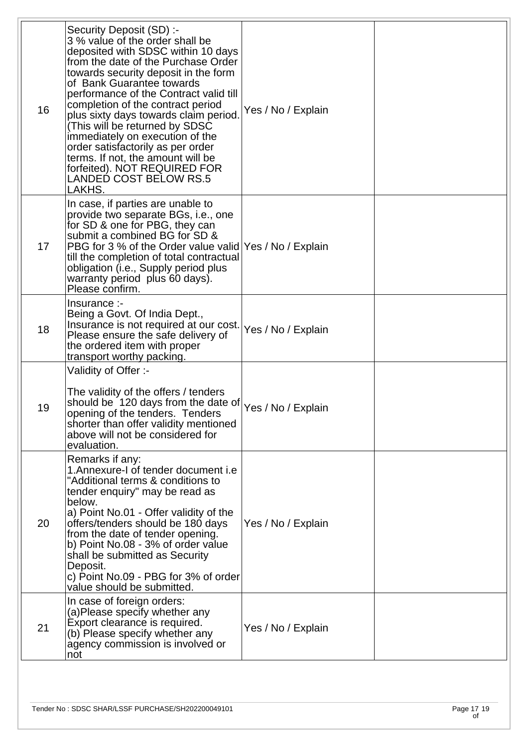| 16 | Security Deposit (SD) :-<br>3 % value of the order shall be<br>deposited with SDSC within 10 days<br>from the date of the Purchase Order<br>towards security deposit in the form<br>of Bank Guarantee towards<br>performance of the Contract valid till<br>completion of the contract period<br>plus sixty days towards claim period.<br>(This will be returned by SDSC<br>immediately on execution of the<br>order satisfactorily as per order<br>terms. If not, the amount will be<br>forfeited). NOT REQUIRED FOR<br><b>LANDED COST BELOW RS.5</b><br>LAKHS. | Yes / No / Explain |  |
|----|-----------------------------------------------------------------------------------------------------------------------------------------------------------------------------------------------------------------------------------------------------------------------------------------------------------------------------------------------------------------------------------------------------------------------------------------------------------------------------------------------------------------------------------------------------------------|--------------------|--|
| 17 | In case, if parties are unable to<br>provide two separate BGs, i.e., one<br>for SD & one for PBG, they can<br>submit a combined BG for SD &<br>PBG for 3 % of the Order value valid Yes / No / Explain<br>till the completion of total contractual<br>obligation (i.e., Supply period plus<br>warranty period plus 60 days).<br>Please confirm.                                                                                                                                                                                                                 |                    |  |
| 18 | Insurance:-<br>Being a Govt. Of India Dept.,<br>Insurance is not required at our cost.<br>Please ensure the safe delivery of<br>the ordered item with proper<br>transport worthy packing.                                                                                                                                                                                                                                                                                                                                                                       | Yes / No / Explain |  |
| 19 | Validity of Offer :-<br>The validity of the offers / tenders<br>should be 120 days from the date of<br>opening of the tenders. Tenders<br>shorter than offer validity mentioned<br>above will not be considered for<br>evaluation.                                                                                                                                                                                                                                                                                                                              | Yes / No / Explain |  |
| 20 | Remarks if any:<br>1. Annexure-I of tender document i.e<br>"Additional terms & conditions to<br>tender enquiry" may be read as<br>below.<br>a) Point No.01 - Offer validity of the<br>offers/tenders should be 180 days<br>from the date of tender opening.<br>b) Point No.08 - 3% of order value<br>shall be submitted as Security<br>Deposit.<br>c) Point No.09 - PBG for 3% of order<br>value should be submitted.                                                                                                                                           | Yes / No / Explain |  |
| 21 | In case of foreign orders:<br>(a) Please specify whether any<br>Export clearance is required.<br>(b) Please specify whether any<br>agency commission is involved or<br>not                                                                                                                                                                                                                                                                                                                                                                                      | Yes / No / Explain |  |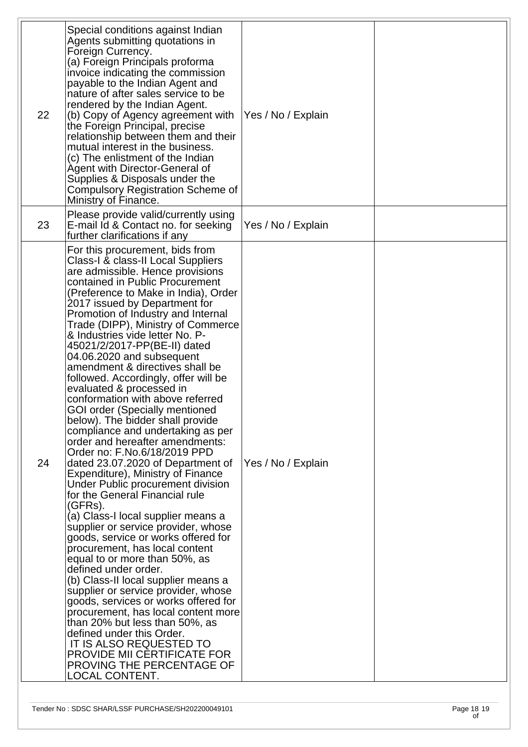| 22 | Special conditions against Indian<br>Agents submitting quotations in<br>Foreign Currency.<br>(a) Foreign Principals proforma<br>invoice indicating the commission<br>payable to the Indian Agent and<br>nature of after sales service to be<br>rendered by the Indian Agent.<br>(b) Copy of Agency agreement with<br>the Foreign Principal, precise<br>relationship between them and their<br>mutual interest in the business.<br>(c) The enlistment of the Indian<br>Agent with Director-General of<br>Supplies & Disposals under the<br>Compulsory Registration Scheme of<br>Ministry of Finance.                                                                                                                                                                                                                                                                                                                                                                                                                                                                                                                                                                                                                                                                                                                                                                                                                                               | Yes / No / Explain |  |
|----|---------------------------------------------------------------------------------------------------------------------------------------------------------------------------------------------------------------------------------------------------------------------------------------------------------------------------------------------------------------------------------------------------------------------------------------------------------------------------------------------------------------------------------------------------------------------------------------------------------------------------------------------------------------------------------------------------------------------------------------------------------------------------------------------------------------------------------------------------------------------------------------------------------------------------------------------------------------------------------------------------------------------------------------------------------------------------------------------------------------------------------------------------------------------------------------------------------------------------------------------------------------------------------------------------------------------------------------------------------------------------------------------------------------------------------------------------|--------------------|--|
| 23 | Please provide valid/currently using<br>E-mail Id & Contact no. for seeking<br>further clarifications if any                                                                                                                                                                                                                                                                                                                                                                                                                                                                                                                                                                                                                                                                                                                                                                                                                                                                                                                                                                                                                                                                                                                                                                                                                                                                                                                                      | Yes / No / Explain |  |
| 24 | For this procurement, bids from<br>Class-I & class-II Local Suppliers<br>are admissible. Hence provisions<br>contained in Public Procurement<br>(Preference to Make in India), Order<br>2017 issued by Department for<br>Promotion of Industry and Internal<br>Trade (DIPP), Ministry of Commerce<br>& Industries vide letter No. P-<br>45021/2/2017-PP(BE-II) dated<br>04.06.2020 and subsequent<br>amendment & directives shall be<br>followed. Accordingly, offer will be<br>evaluated & processed in<br>conformation with above referred<br><b>GOI order (Specially mentioned</b><br>below). The bidder shall provide<br>compliance and undertaking as per<br>order and hereafter amendments:<br>Order no: F.No.6/18/2019 PPD<br>dated 23.07.2020 of Department of<br>Expenditure), Ministry of Finance<br>Under Public procurement division<br>for the General Financial rule<br>(GFRs).<br>(a) Class-I local supplier means a<br>supplier or service provider, whose<br>goods, service or works offered for<br>procurement, has local content<br>equal to or more than 50%, as<br>defined under order.<br>(b) Class-II local supplier means a<br>supplier or service provider, whose<br>goods, services or works offered for<br>procurement, has local content more<br>than 20% but less than 50%, as<br>defined under this Order.<br>IT IS ALSO REQUESTED TO<br>PROVIDE MII CERTIFICATE FOR<br>PROVING THE PERCENTAGE OF<br>LOCAL CONTENT. | Yes / No / Explain |  |